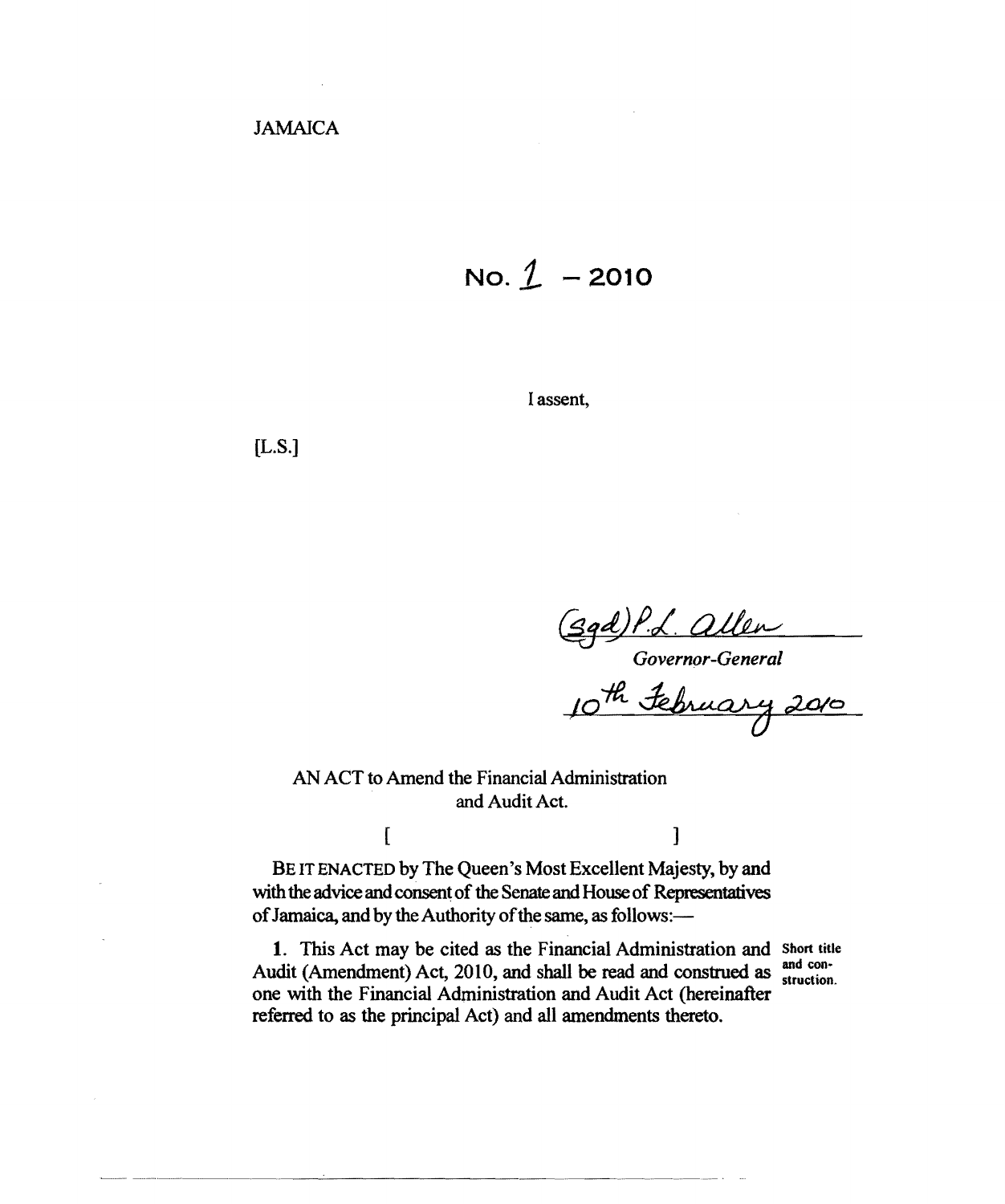$No. 1 - 2010$ 

I assent,

[L.S.]

*Governor-General* 

AN ACT to Amend the Financial Administration and Audit Act.

BE IT ENACTED by The Queen's Most Excellent Majesty, by and with the advice and consent of the Senate and House of Representatives of Jamaica, and by the Authority of the same, as follows:-

1. This Act may be cited as the Financial Administration and Short title Audit (Amendment) Act, 2010, and shall be read and construed as  $\frac{and~con-}{\text{struction.}}$ one with the Financial Administration and Audit Act (hereinafter referred to as the principal Act) and all amendments thereto.

 $[$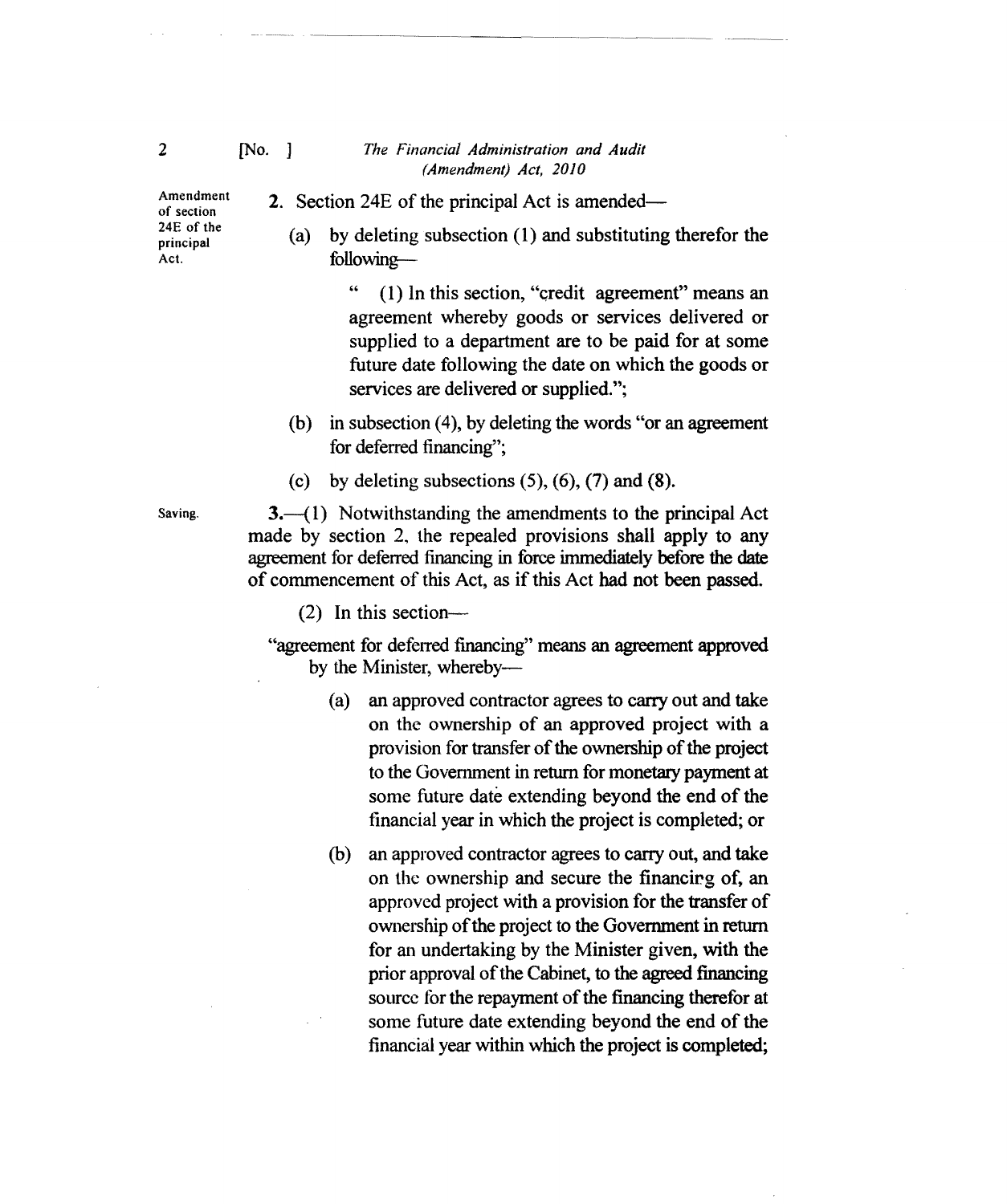## [No. J *The Financial Administration and Audit (Amendment) Act, 2010*

2. Section 24E of the principal Act is amended

Amendment of section 24E of the principal Act.

(a) by deleting subsection (1) and substituting therefor the

following

" (1) In this section, "credit agreement" means an agreement whereby goods or services delivered or supplied to a department are to be paid for at some future date following the date on which the goods or services are delivered or supplied.";

- (b) in subsection  $(4)$ , by deleting the words "or an agreement for deferred financing";
- (c) by deleting subsections  $(5)$ ,  $(6)$ ,  $(7)$  and  $(8)$ .

 $3-({}1)$  Notwithstanding the amendments to the principal Act made by section 2, the repealed provisions shall apply to any agreement for deferred financing in force immediately before the date of commencement of this Act, as ifthis Act had not been passed.

 $(2)$  In this section-

"agreement for deferred financing" means an agreement approved by the Minister, whereby

- (a) an approved contractor agrees to carry out and take on the ownership of an approved project with a provision for transfer of the ownership of the project to the Government in return for monetary payment at some future date extending beyond the end of the financial year in which the project is completed; or
- (b) an approved contractor agrees to carry out, and take on the ownership and secure the financing of, an approved project with a provision for the transfer of ownership of the project to the Government in return for an undertaking by the Minister given, with the prior approval of the Cabinet, to the agreed financing source for the repayment of the financing therefor at some future date extending beyond the end of the financial year within which the project is completed;

Saving.

2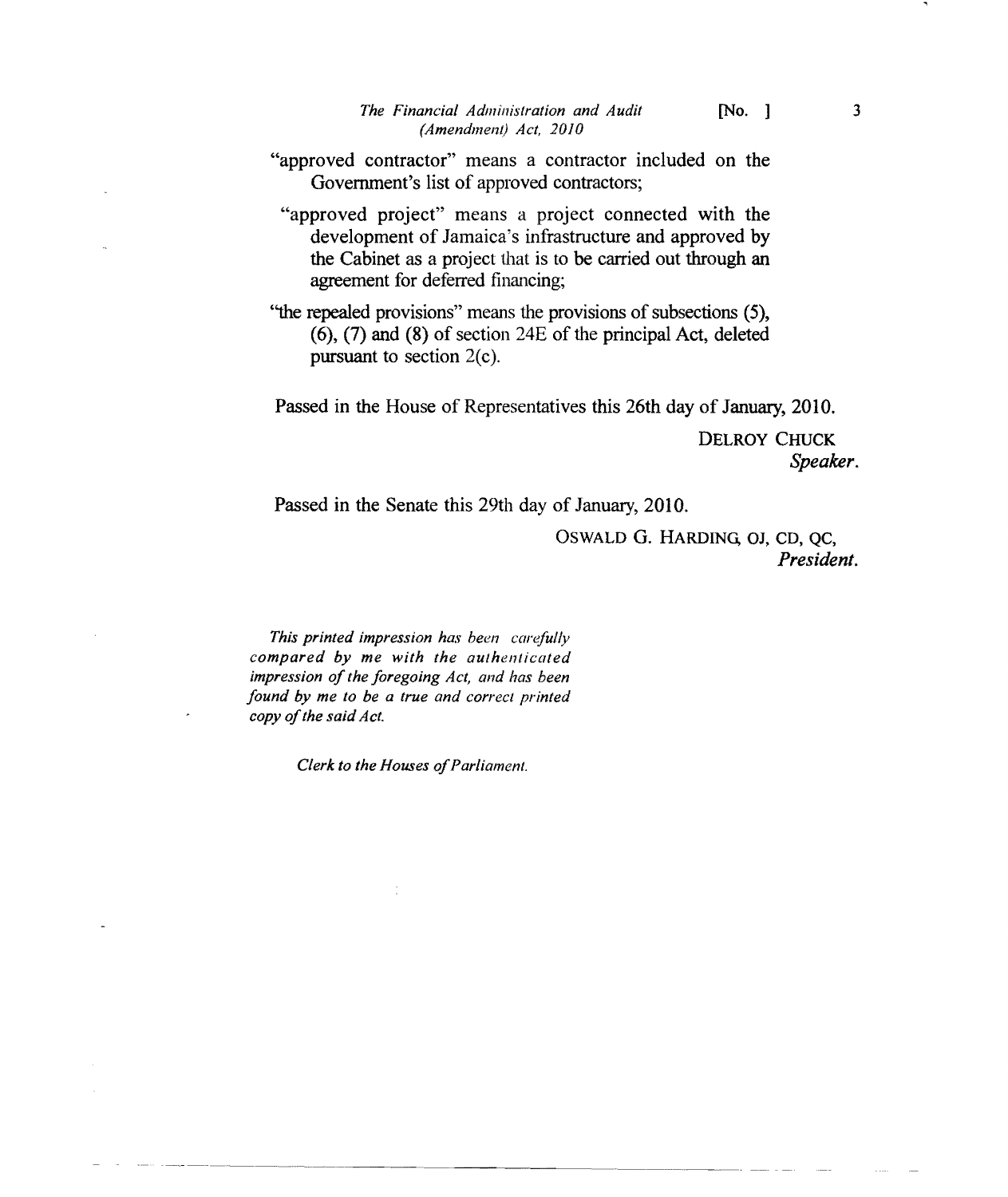- "approved contractor" means a contractor included on the Government's list of approved contractors;
	- "approved project" means a project connected with the development of Jamaica's infrastructure and approved by the Cabinet as a project that is to be carried out through an agreement for deferred financing;
- "the repealed provisions" means the provisions of subsections (5), (6), (7) and (8) of section 24E of the principal Act, deleted pursuant to section  $2(c)$ .

Passed in the House of Representatives this 26th day of January, 2010.

DELROY CHUCK *Speaker.* 

Passed in the Senate this 29th day of January, 2010.

OSWALD G. HARDING, OJ, CD, QC, *President.* 

*This printed impression has been carefully compared by me with the authenticated impression of the foregoing Act, and has been found by me to be a true and correct printed*  copy of the said Act.

*Clerk to the Houses of Parliament.*